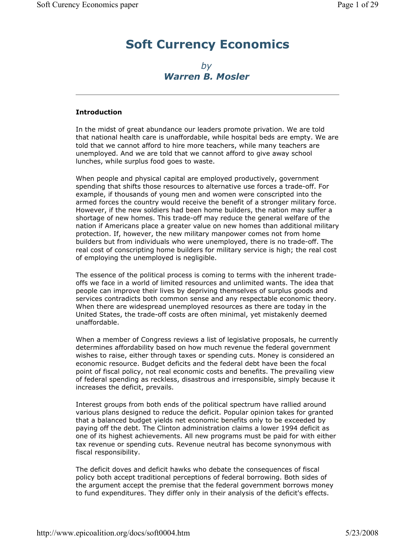# **Soft Currency Economics**

## *by Warren B. Mosler*

## **Introduction**

In the midst of great abundance our leaders promote privation. We are told that national health care is unaffordable, while hospital beds are empty. We are told that we cannot afford to hire more teachers, while many teachers are unemployed. And we are told that we cannot afford to give away school lunches, while surplus food goes to waste.

When people and physical capital are employed productively, government spending that shifts those resources to alternative use forces a trade-off. For example, if thousands of young men and women were conscripted into the armed forces the country would receive the benefit of a stronger military force. However, if the new soldiers had been home builders, the nation may suffer a shortage of new homes. This trade-off may reduce the general welfare of the nation if Americans place a greater value on new homes than additional military protection. If, however, the new military manpower comes not from home builders but from individuals who were unemployed, there is no trade-off. The real cost of conscripting home builders for military service is high; the real cost of employing the unemployed is negligible.

The essence of the political process is coming to terms with the inherent tradeoffs we face in a world of limited resources and unlimited wants. The idea that people can improve their lives by depriving themselves of surplus goods and services contradicts both common sense and any respectable economic theory. When there are widespread unemployed resources as there are today in the United States, the trade-off costs are often minimal, yet mistakenly deemed unaffordable.

When a member of Congress reviews a list of legislative proposals, he currently determines affordability based on how much revenue the federal government wishes to raise, either through taxes or spending cuts. Money is considered an economic resource. Budget deficits and the federal debt have been the focal point of fiscal policy, not real economic costs and benefits. The prevailing view of federal spending as reckless, disastrous and irresponsible, simply because it increases the deficit, prevails.

Interest groups from both ends of the political spectrum have rallied around various plans designed to reduce the deficit. Popular opinion takes for granted that a balanced budget yields net economic benefits only to be exceeded by paying off the debt. The Clinton administration claims a lower 1994 deficit as one of its highest achievements. All new programs must be paid for with either tax revenue or spending cuts. Revenue neutral has become synonymous with fiscal responsibility.

The deficit doves and deficit hawks who debate the consequences of fiscal policy both accept traditional perceptions of federal borrowing. Both sides of the argument accept the premise that the federal government borrows money to fund expenditures. They differ only in their analysis of the deficit's effects.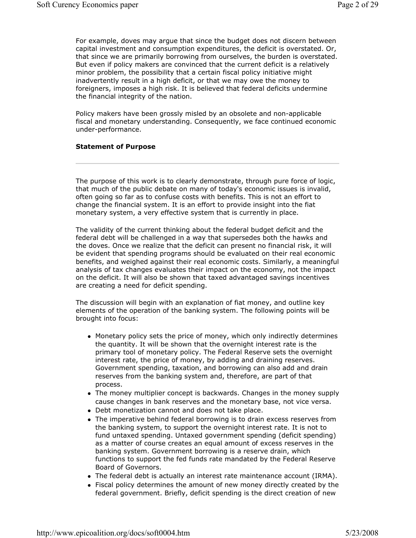For example, doves may argue that since the budget does not discern between capital investment and consumption expenditures, the deficit is overstated. Or, that since we are primarily borrowing from ourselves, the burden is overstated. But even if policy makers are convinced that the current deficit is a relatively minor problem, the possibility that a certain fiscal policy initiative might inadvertently result in a high deficit, or that we may owe the money to foreigners, imposes a high risk. It is believed that federal deficits undermine the financial integrity of the nation.

Policy makers have been grossly misled by an obsolete and non-applicable fiscal and monetary understanding. Consequently, we face continued economic under-performance.

#### **Statement of Purpose**

The purpose of this work is to clearly demonstrate, through pure force of logic, that much of the public debate on many of today's economic issues is invalid, often going so far as to confuse costs with benefits. This is not an effort to change the financial system. It is an effort to provide insight into the fiat monetary system, a very effective system that is currently in place.

The validity of the current thinking about the federal budget deficit and the federal debt will be challenged in a way that supersedes both the hawks and the doves. Once we realize that the deficit can present no financial risk, it will be evident that spending programs should be evaluated on their real economic benefits, and weighed against their real economic costs. Similarly, a meaningful analysis of tax changes evaluates their impact on the economy, not the impact on the deficit. It will also be shown that taxed advantaged savings incentives are creating a need for deficit spending.

The discussion will begin with an explanation of fiat money, and outline key elements of the operation of the banking system. The following points will be brought into focus:

- Monetary policy sets the price of money, which only indirectly determines the quantity. It will be shown that the overnight interest rate is the primary tool of monetary policy. The Federal Reserve sets the overnight interest rate, the price of money, by adding and draining reserves. Government spending, taxation, and borrowing can also add and drain reserves from the banking system and, therefore, are part of that process.
- The money multiplier concept is backwards. Changes in the money supply cause changes in bank reserves and the monetary base, not vice versa.
- Debt monetization cannot and does not take place.
- The imperative behind federal borrowing is to drain excess reserves from the banking system, to support the overnight interest rate. It is not to fund untaxed spending. Untaxed government spending (deficit spending) as a matter of course creates an equal amount of excess reserves in the banking system. Government borrowing is a reserve drain, which functions to support the fed funds rate mandated by the Federal Reserve Board of Governors.
- The federal debt is actually an interest rate maintenance account (IRMA).
- Fiscal policy determines the amount of new money directly created by the federal government. Briefly, deficit spending is the direct creation of new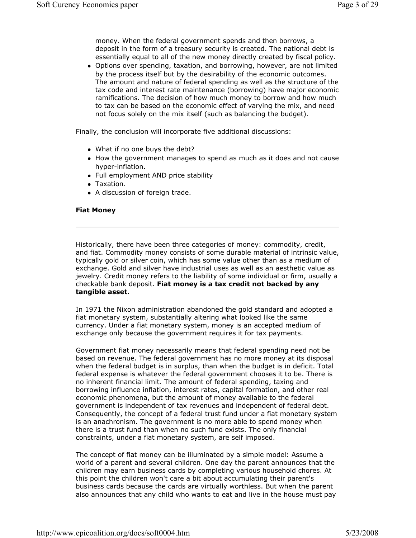money. When the federal government spends and then borrows, a deposit in the form of a treasury security is created. The national debt is essentially equal to all of the new money directly created by fiscal policy.

 Options over spending, taxation, and borrowing, however, are not limited by the process itself but by the desirability of the economic outcomes. The amount and nature of federal spending as well as the structure of the tax code and interest rate maintenance (borrowing) have major economic ramifications. The decision of how much money to borrow and how much to tax can be based on the economic effect of varying the mix, and need not focus solely on the mix itself (such as balancing the budget).

Finally, the conclusion will incorporate five additional discussions:

- What if no one buys the debt?
- How the government manages to spend as much as it does and not cause hyper-inflation.
- Full employment AND price stability
- Taxation.
- A discussion of foreign trade.

#### **Fiat Money**

Historically, there have been three categories of money: commodity, credit, and fiat. Commodity money consists of some durable material of intrinsic value, typically gold or silver coin, which has some value other than as a medium of exchange. Gold and silver have industrial uses as well as an aesthetic value as jewelry. Credit money refers to the liability of some individual or firm, usually a checkable bank deposit. **Fiat money is a tax credit not backed by any tangible asset.**

In 1971 the Nixon administration abandoned the gold standard and adopted a fiat monetary system, substantially altering what looked like the same currency. Under a fiat monetary system, money is an accepted medium of exchange only because the government requires it for tax payments.

Government fiat money necessarily means that federal spending need not be based on revenue. The federal government has no more money at its disposal when the federal budget is in surplus, than when the budget is in deficit. Total federal expense is whatever the federal government chooses it to be. There is no inherent financial limit. The amount of federal spending, taxing and borrowing influence inflation, interest rates, capital formation, and other real economic phenomena, but the amount of money available to the federal government is independent of tax revenues and independent of federal debt. Consequently, the concept of a federal trust fund under a fiat monetary system is an anachronism. The government is no more able to spend money when there is a trust fund than when no such fund exists. The only financial constraints, under a fiat monetary system, are self imposed.

The concept of fiat money can be illuminated by a simple model: Assume a world of a parent and several children. One day the parent announces that the children may earn business cards by completing various household chores. At this point the children won't care a bit about accumulating their parent's business cards because the cards are virtually worthless. But when the parent also announces that any child who wants to eat and live in the house must pay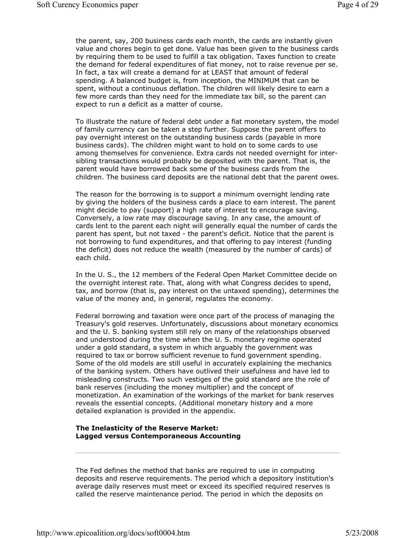the parent, say, 200 business cards each month, the cards are instantly given value and chores begin to get done. Value has been given to the business cards by requiring them to be used to fulfill a tax obligation. Taxes function to create the demand for federal expenditures of fiat money, not to raise revenue per se. In fact, a tax will create a demand for at LEAST that amount of federal spending. A balanced budget is, from inception, the MINIMUM that can be spent, without a continuous deflation. The children will likely desire to earn a few more cards than they need for the immediate tax bill, so the parent can expect to run a deficit as a matter of course.

To illustrate the nature of federal debt under a fiat monetary system, the model of family currency can be taken a step further. Suppose the parent offers to pay overnight interest on the outstanding business cards (payable in more business cards). The children might want to hold on to some cards to use among themselves for convenience. Extra cards not needed overnight for intersibling transactions would probably be deposited with the parent. That is, the parent would have borrowed back some of the business cards from the children. The business card deposits are the national debt that the parent owes.

The reason for the borrowing is to support a minimum overnight lending rate by giving the holders of the business cards a place to earn interest. The parent might decide to pay (support) a high rate of interest to encourage saving. Conversely, a low rate may discourage saving. In any case, the amount of cards lent to the parent each night will generally equal the number of cards the parent has spent, but not taxed - the parent's deficit. Notice that the parent is not borrowing to fund expenditures, and that offering to pay interest (funding the deficit) does not reduce the wealth (measured by the number of cards) of each child.

In the U. S., the 12 members of the Federal Open Market Committee decide on the overnight interest rate. That, along with what Congress decides to spend, tax, and borrow (that is, pay interest on the untaxed spending), determines the value of the money and, in general, regulates the economy.

Federal borrowing and taxation were once part of the process of managing the Treasury's gold reserves. Unfortunately, discussions about monetary economics and the U. S. banking system still rely on many of the relationships observed and understood during the time when the U. S. monetary regime operated under a gold standard, a system in which arguably the government was required to tax or borrow sufficient revenue to fund government spending. Some of the old models are still useful in accurately explaining the mechanics of the banking system. Others have outlived their usefulness and have led to misleading constructs. Two such vestiges of the gold standard are the role of bank reserves (including the money multiplier) and the concept of monetization. An examination of the workings of the market for bank reserves reveals the essential concepts. (Additional monetary history and a more detailed explanation is provided in the appendix.

## **The Inelasticity of the Reserve Market: Lagged versus Contemporaneous Accounting**

The Fed defines the method that banks are required to use in computing deposits and reserve requirements. The period which a depository institution's average daily reserves must meet or exceed its specified required reserves is called the reserve maintenance period. The period in which the deposits on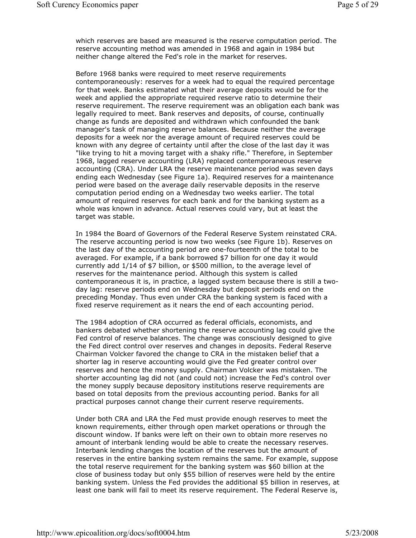which reserves are based are measured is the reserve computation period. The reserve accounting method was amended in 1968 and again in 1984 but neither change altered the Fed's role in the market for reserves.

Before 1968 banks were required to meet reserve requirements contemporaneously: reserves for a week had to equal the required percentage for that week. Banks estimated what their average deposits would be for the week and applied the appropriate required reserve ratio to determine their reserve requirement. The reserve requirement was an obligation each bank was legally required to meet. Bank reserves and deposits, of course, continually change as funds are deposited and withdrawn which confounded the bank manager's task of managing reserve balances. Because neither the average deposits for a week nor the average amount of required reserves could be known with any degree of certainty until after the close of the last day it was "like trying to hit a moving target with a shaky rifle." Therefore, in September 1968, lagged reserve accounting (LRA) replaced contemporaneous reserve accounting (CRA). Under LRA the reserve maintenance period was seven days ending each Wednesday (see Figure 1a). Required reserves for a maintenance period were based on the average daily reservable deposits in the reserve computation period ending on a Wednesday two weeks earlier. The total amount of required reserves for each bank and for the banking system as a whole was known in advance. Actual reserves could vary, but at least the target was stable.

In 1984 the Board of Governors of the Federal Reserve System reinstated CRA. The reserve accounting period is now two weeks (see Figure 1b). Reserves on the last day of the accounting period are one-fourteenth of the total to be averaged. For example, if a bank borrowed \$7 billion for one day it would currently add 1/14 of \$7 billion, or \$500 million, to the average level of reserves for the maintenance period. Although this system is called contemporaneous it is, in practice, a lagged system because there is still a twoday lag: reserve periods end on Wednesday but deposit periods end on the preceding Monday. Thus even under CRA the banking system is faced with a fixed reserve requirement as it nears the end of each accounting period.

The 1984 adoption of CRA occurred as federal officials, economists, and bankers debated whether shortening the reserve accounting lag could give the Fed control of reserve balances. The change was consciously designed to give the Fed direct control over reserves and changes in deposits. Federal Reserve Chairman Volcker favored the change to CRA in the mistaken belief that a shorter lag in reserve accounting would give the Fed greater control over reserves and hence the money supply. Chairman Volcker was mistaken. The shorter accounting lag did not (and could not) increase the Fed's control over the money supply because depository institutions reserve requirements are based on total deposits from the previous accounting period. Banks for all practical purposes cannot change their current reserve requirements.

Under both CRA and LRA the Fed must provide enough reserves to meet the known requirements, either through open market operations or through the discount window. If banks were left on their own to obtain more reserves no amount of interbank lending would be able to create the necessary reserves. Interbank lending changes the location of the reserves but the amount of reserves in the entire banking system remains the same. For example, suppose the total reserve requirement for the banking system was \$60 billion at the close of business today but only \$55 billion of reserves were held by the entire banking system. Unless the Fed provides the additional \$5 billion in reserves, at least one bank will fail to meet its reserve requirement. The Federal Reserve is,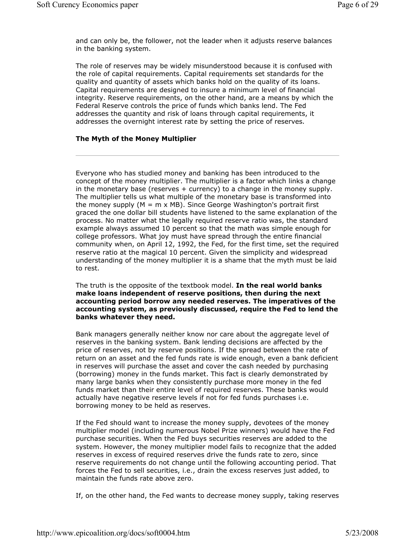and can only be, the follower, not the leader when it adjusts reserve balances in the banking system.

The role of reserves may be widely misunderstood because it is confused with the role of capital requirements. Capital requirements set standards for the quality and quantity of assets which banks hold on the quality of its loans. Capital requirements are designed to insure a minimum level of financial integrity. Reserve requirements, on the other hand, are a means by which the Federal Reserve controls the price of funds which banks lend. The Fed addresses the quantity and risk of loans through capital requirements, it addresses the overnight interest rate by setting the price of reserves.

#### **The Myth of the Money Multiplier**

Everyone who has studied money and banking has been introduced to the concept of the money multiplier. The multiplier is a factor which links a change in the monetary base (reserves  $+$  currency) to a change in the money supply. The multiplier tells us what multiple of the monetary base is transformed into the money supply ( $M = m \times MB$ ). Since George Washington's portrait first graced the one dollar bill students have listened to the same explanation of the process. No matter what the legally required reserve ratio was, the standard example always assumed 10 percent so that the math was simple enough for college professors. What joy must have spread through the entire financial community when, on April 12, 1992, the Fed, for the first time, set the required reserve ratio at the magical 10 percent. Given the simplicity and widespread understanding of the money multiplier it is a shame that the myth must be laid to rest.

The truth is the opposite of the textbook model. **In the real world banks make loans independent of reserve positions, then during the next accounting period borrow any needed reserves. The imperatives of the accounting system, as previously discussed, require the Fed to lend the banks whatever they need.**

Bank managers generally neither know nor care about the aggregate level of reserves in the banking system. Bank lending decisions are affected by the price of reserves, not by reserve positions. If the spread between the rate of return on an asset and the fed funds rate is wide enough, even a bank deficient in reserves will purchase the asset and cover the cash needed by purchasing (borrowing) money in the funds market. This fact is clearly demonstrated by many large banks when they consistently purchase more money in the fed funds market than their entire level of required reserves. These banks would actually have negative reserve levels if not for fed funds purchases i.e. borrowing money to be held as reserves.

If the Fed should want to increase the money supply, devotees of the money multiplier model (including numerous Nobel Prize winners) would have the Fed purchase securities. When the Fed buys securities reserves are added to the system. However, the money multiplier model fails to recognize that the added reserves in excess of required reserves drive the funds rate to zero, since reserve requirements do not change until the following accounting period. That forces the Fed to sell securities, i.e., drain the excess reserves just added, to maintain the funds rate above zero.

If, on the other hand, the Fed wants to decrease money supply, taking reserves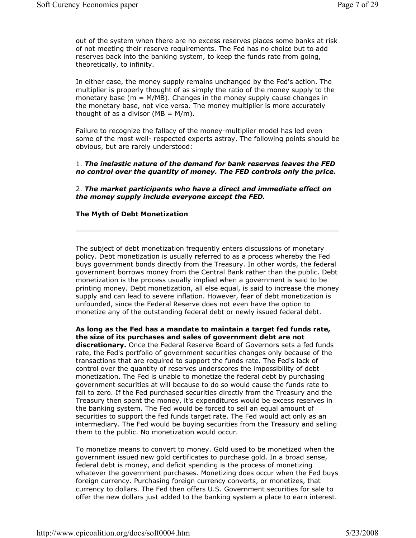out of the system when there are no excess reserves places some banks at risk of not meeting their reserve requirements. The Fed has no choice but to add reserves back into the banking system, to keep the funds rate from going, theoretically, to infinity.

In either case, the money supply remains unchanged by the Fed's action. The multiplier is properly thought of as simply the ratio of the money supply to the monetary base  $(m = M/MB)$ . Changes in the money supply cause changes in the monetary base, not vice versa. The money multiplier is more accurately thought of as a divisor ( $MB = M/m$ ).

Failure to recognize the fallacy of the money-multiplier model has led even some of the most well- respected experts astray. The following points should be obvious, but are rarely understood:

## 1. *The inelastic nature of the demand for bank reserves leaves the FED no control over the quantity of money. The FED controls only the price.*

2. *The market participants who have a direct and immediate effect on the money supply include everyone except the FED.*

#### **The Myth of Debt Monetization**

The subject of debt monetization frequently enters discussions of monetary policy. Debt monetization is usually referred to as a process whereby the Fed buys government bonds directly from the Treasury. In other words, the federal government borrows money from the Central Bank rather than the public. Debt monetization is the process usually implied when a government is said to be printing money. Debt monetization, all else equal, is said to increase the money supply and can lead to severe inflation. However, fear of debt monetization is unfounded, since the Federal Reserve does not even have the option to monetize any of the outstanding federal debt or newly issued federal debt.

## **As long as the Fed has a mandate to maintain a target fed funds rate, the size of its purchases and sales of government debt are not**

**discretionary.** Once the Federal Reserve Board of Governors sets a fed funds rate, the Fed's portfolio of government securities changes only because of the transactions that are required to support the funds rate. The Fed's lack of control over the quantity of reserves underscores the impossibility of debt monetization. The Fed is unable to monetize the federal debt by purchasing government securities at will because to do so would cause the funds rate to fall to zero. If the Fed purchased securities directly from the Treasury and the Treasury then spent the money, it's expenditures would be excess reserves in the banking system. The Fed would be forced to sell an equal amount of securities to support the fed funds target rate. The Fed would act only as an intermediary. The Fed would be buying securities from the Treasury and selling them to the public. No monetization would occur.

To monetize means to convert to money. Gold used to be monetized when the government issued new gold certificates to purchase gold. In a broad sense, federal debt is money, and deficit spending is the process of monetizing whatever the government purchases. Monetizing does occur when the Fed buys foreign currency. Purchasing foreign currency converts, or monetizes, that currency to dollars. The Fed then offers U.S. Government securities for sale to offer the new dollars just added to the banking system a place to earn interest.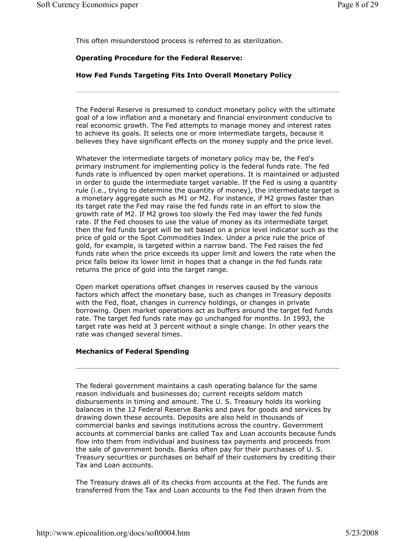This often misunderstood process is referred to as sterilization.

## **Operating Procedure for the Federal Reserve:**

**How Fed Funds Targeting Fits Into Overall Monetary Policy**

The Federal Reserve is presumed to conduct monetary policy with the ultimate goal of a low inflation and a monetary and financial environment conducive to real economic growth. The Fed attempts to manage money and interest rates to achieve its goals. It selects one or more intermediate targets, because it believes they have significant effects on the money supply and the price level.

Whatever the intermediate targets of monetary policy may be, the Fed's primary instrument for implementing policy is the federal funds rate. The fed funds rate is influenced by open market operations. It is maintained or adjusted in order to guide the intermediate target variable. If the Fed is using a quantity rule (i.e., trying to determine the quantity of money), the intermediate target is a monetary aggregate such as M1 or M2. For instance, if M2 grows faster than its target rate the Fed may raise the fed funds rate in an effort to slow the growth rate of M2. If M2 grows too slowly the Fed may lower the fed funds rate. If the Fed chooses to use the value of money as its intermediate target then the fed funds target will be set based on a price level indicator such as the price of gold or the Spot Commodities Index. Under a price rule the price of gold, for example, is targeted within a narrow band. The Fed raises the fed funds rate when the price exceeds its upper limit and lowers the rate when the price falls below its lower limit in hopes that a change in the fed funds rate returns the price of gold into the target range.

Open market operations offset changes in reserves caused by the various factors which affect the monetary base, such as changes in Treasury deposits with the Fed, float, changes in currency holdings, or changes in private borrowing. Open market operations act as buffers around the target fed funds rate. The target fed funds rate may go unchanged for months. In 1993, the target rate was held at 3 percent without a single change. In other years the rate was changed several times.

#### **Mechanics of Federal Spending**

The federal government maintains a cash operating balance for the same reason individuals and businesses do; current receipts seldom match disbursements in timing and amount. The U. S. Treasury holds its working balances in the 12 Federal Reserve Banks and pays for goods and services by drawing down these accounts. Deposits are also held in thousands of commercial banks and savings institutions across the country. Government accounts at commercial banks are called Tax and Loan accounts because funds flow into them from individual and business tax payments and proceeds from the sale of government bonds. Banks often pay for their purchases of U. S. Treasury securities or purchases on behalf of their customers by crediting their Tax and Loan accounts.

The Treasury draws all of its checks from accounts at the Fed. The funds are transferred from the Tax and Loan accounts to the Fed then drawn from the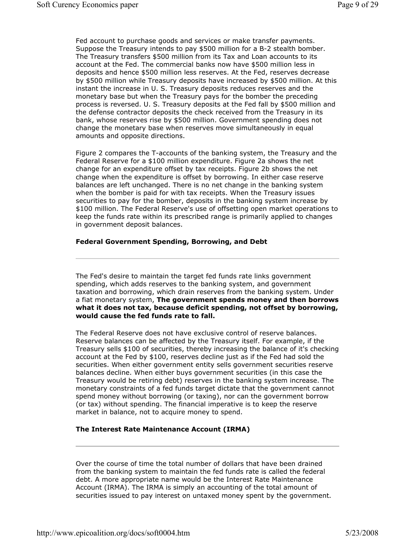Fed account to purchase goods and services or make transfer payments. Suppose the Treasury intends to pay \$500 million for a B-2 stealth bomber. The Treasury transfers \$500 million from its Tax and Loan accounts to its account at the Fed. The commercial banks now have \$500 million less in deposits and hence \$500 million less reserves. At the Fed, reserves decrease by \$500 million while Treasury deposits have increased by \$500 million. At this instant the increase in U. S. Treasury deposits reduces reserves and the monetary base but when the Treasury pays for the bomber the preceding process is reversed. U. S. Treasury deposits at the Fed fall by \$500 million and the defense contractor deposits the check received from the Treasury in its bank, whose reserves rise by \$500 million. Government spending does not change the monetary base when reserves move simultaneously in equal amounts and opposite directions.

Figure 2 compares the T-accounts of the banking system, the Treasury and the Federal Reserve for a \$100 million expenditure. Figure 2a shows the net change for an expenditure offset by tax receipts. Figure 2b shows the net change when the expenditure is offset by borrowing. In either case reserve balances are left unchanged. There is no net change in the banking system when the bomber is paid for with tax receipts. When the Treasury issues securities to pay for the bomber, deposits in the banking system increase by \$100 million. The Federal Reserve's use of offsetting open market operations to keep the funds rate within its prescribed range is primarily applied to changes in government deposit balances.

## **Federal Government Spending, Borrowing, and Debt**

The Fed's desire to maintain the target fed funds rate links government spending, which adds reserves to the banking system, and government taxation and borrowing, which drain reserves from the banking system. Under a fiat monetary system, **The government spends money and then borrows what it does not tax, because deficit spending, not offset by borrowing, would cause the fed funds rate to fall.**

The Federal Reserve does not have exclusive control of reserve balances. Reserve balances can be affected by the Treasury itself. For example, if the Treasury sells \$100 of securities, thereby increasing the balance of it's checking account at the Fed by \$100, reserves decline just as if the Fed had sold the securities. When either government entity sells government securities reserve balances decline. When either buys government securities (in this case the Treasury would be retiring debt) reserves in the banking system increase. The monetary constraints of a fed funds target dictate that the government cannot spend money without borrowing (or taxing), nor can the government borrow (or tax) without spending. The financial imperative is to keep the reserve market in balance, not to acquire money to spend.

#### **The Interest Rate Maintenance Account (IRMA)**

Over the course of time the total number of dollars that have been drained from the banking system to maintain the fed funds rate is called the federal debt. A more appropriate name would be the Interest Rate Maintenance Account (IRMA). The IRMA is simply an accounting of the total amount of securities issued to pay interest on untaxed money spent by the government.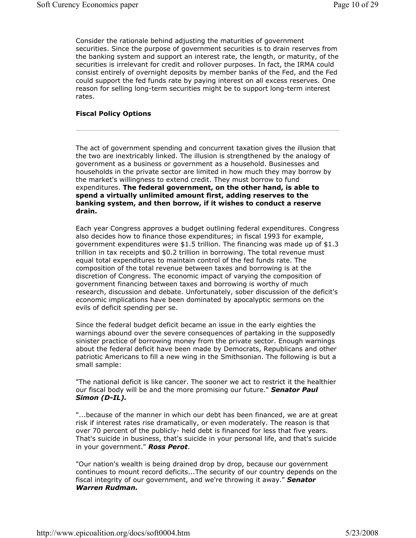Consider the rationale behind adjusting the maturities of government securities. Since the purpose of government securities is to drain reserves from the banking system and support an interest rate, the length, or maturity, of the securities is irrelevant for credit and rollover purposes. In fact, the IRMA could consist entirely of overnight deposits by member banks of the Fed, and the Fed could support the fed funds rate by paying interest on all excess reserves. One reason for selling long-term securities might be to support long-term interest rates.

#### **Fiscal Policy Options**

The act of government spending and concurrent taxation gives the illusion that the two are inextricably linked. The illusion is strengthened by the analogy of government as a business or government as a household. Businesses and households in the private sector are limited in how much they may borrow by the market's willingness to extend credit. They must borrow to fund expenditures. **The federal government, on the other hand, is able to spend a virtually unlimited amount first, adding reserves to the banking system, and then borrow, if it wishes to conduct a reserve drain.**

Each year Congress approves a budget outlining federal expenditures. Congress also decides how to finance those expenditures; in fiscal 1993 for example, government expenditures were \$1.5 trillion. The financing was made up of \$1.3 trillion in tax receipts and \$0.2 trillion in borrowing. The total revenue must equal total expenditures to maintain control of the fed funds rate. The composition of the total revenue between taxes and borrowing is at the discretion of Congress. The economic impact of varying the composition of government financing between taxes and borrowing is worthy of much research, discussion and debate. Unfortunately, sober discussion of the deficit's economic implications have been dominated by apocalyptic sermons on the evils of deficit spending per se.

Since the federal budget deficit became an issue in the early eighties the warnings abound over the severe consequences of partaking in the supposedly sinister practice of borrowing money from the private sector. Enough warnings about the federal deficit have been made by Democrats, Republicans and other patriotic Americans to fill a new wing in the Smithsonian. The following is but a small sample:

"The national deficit is like cancer. The sooner we act to restrict it the healthier our fiscal body will be and the more promising our future." *Senator Paul Simon (D-IL).*

"...because of the manner in which our debt has been financed, we are at great risk if interest rates rise dramatically, or even moderately. The reason is that over 70 percent of the publicly- held debt is financed for less that five years. That's suicide in business, that's suicide in your personal life, and that's suicide in your government." *Ross Perot*.

"Our nation's wealth is being drained drop by drop, because our government continues to mount record deficits...The security of our country depends on the fiscal integrity of our government, and we're throwing it away." *Senator Warren Rudman.*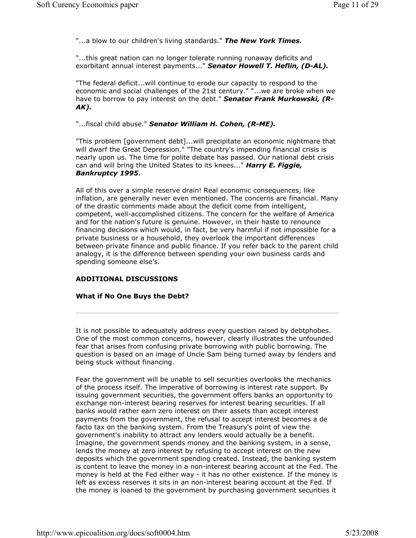"...a blow to our children's living standards." *The New York Times.*

"...this great nation can no longer tolerate running runaway deficits and exorbitant annual interest payments..." *Senator Howell T. Heflin, (D-AL).*

"The federal deficit...will continue to erode our capacity to respond to the economic and social challenges of the 21st century." "...we are broke when we have to borrow to pay interest on the debt." *Senator Frank Murkowski, (R-AK).*

"...fiscal child abuse." *Senator William H. Cohen, (R-ME).*

"This problem [government debt]...will precipitate an economic nightmare that will dwarf the Great Depression." "The country's impending financial crisis is nearly upon us. The time for polite debate has passed. Our national debt crisis can and will bring the United States to its knees..." *Harry E. Figgie, Bankruptcy 1995*.

All of this over a simple reserve drain! Real economic consequences, like inflation, are generally never even mentioned. The concerns are financial. Many of the drastic comments made about the deficit come from intelligent, competent, well-accomplished citizens. The concern for the welfare of America and for the nation's future is genuine. However, in their haste to renounce financing decisions which would, in fact, be very harmful if not impossible for a private business or a household, they overlook the important differences between private finance and public finance. If you refer back to the parent child analogy, it is the difference between spending your own business cards and spending someone else's.

## **ADDITIONAL DISCUSSIONS**

#### **What if No One Buys the Debt?**

It is not possible to adequately address every question raised by debtphobes. One of the most common concerns, however, clearly illustrates the unfounded fear that arises from confusing private borrowing with public borrowing. The question is based on an image of Uncle Sam being turned away by lenders and being stuck without financing.

Fear the government will be unable to sell securities overlooks the mechanics of the process itself. The imperative of borrowing is interest rate support. By issuing government securities, the government offers banks an opportunity to exchange non-interest bearing reserves for interest bearing securities. If all banks would rather earn zero interest on their assets than accept interest payments from the government, the refusal to accept interest becomes a de facto tax on the banking system. From the Treasury's point of view the government's inability to attract any lenders would actually be a benefit. Imagine, the government spends money and the banking system, in a sense, lends the money at zero interest by refusing to accept interest on the new deposits which the government spending created. Instead, the banking system is content to leave the money in a non-interest bearing account at the Fed. The money is held at the Fed either way - it has no other existence. If the money is left as excess reserves it sits in an non-interest bearing account at the Fed. If the money is loaned to the government by purchasing government securities it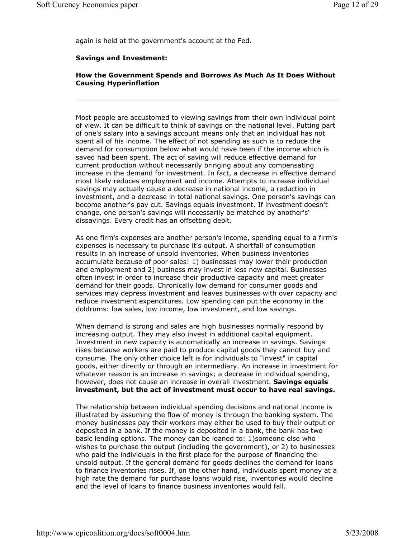again is held at the government's account at the Fed.

#### **Savings and Investment:**

## **How the Government Spends and Borrows As Much As It Does Without Causing Hyperinflation**

Most people are accustomed to viewing savings from their own individual point of view. It can be difficult to think of savings on the national level. Putting part of one's salary into a savings account means only that an individual has not spent all of his income. The effect of not spending as such is to reduce the demand for consumption below what would have been if the income which is saved had been spent. The act of saving will reduce effective demand for current production without necessarily bringing about any compensating increase in the demand for investment. In fact, a decrease in effective demand most likely reduces employment and income. Attempts to increase individual savings may actually cause a decrease in national income, a reduction in investment, and a decrease in total national savings. One person's savings can become another's pay cut. Savings equals investment. If investment doesn't change, one person's savings will necessarily be matched by another's' dissavings. Every credit has an offsetting debit.

As one firm's expenses are another person's income, spending equal to a firm's expenses is necessary to purchase it's output. A shortfall of consumption results in an increase of unsold inventories. When business inventories accumulate because of poor sales: 1) businesses may lower their production and employment and 2) business may invest in less new capital. Businesses often invest in order to increase their productive capacity and meet greater demand for their goods. Chronically low demand for consumer goods and services may depress investment and leaves businesses with over capacity and reduce investment expenditures. Low spending can put the economy in the doldrums: low sales, low income, low investment, and low savings.

When demand is strong and sales are high businesses normally respond by increasing output. They may also invest in additional capital equipment. Investment in new capacity is automatically an increase in savings. Savings rises because workers are paid to produce capital goods they cannot buy and consume. The only other choice left is for individuals to "invest" in capital goods, either directly or through an intermediary. An increase in investment for whatever reason is an increase in savings; a decrease in individual spending, however, does not cause an increase in overall investment. **Savings equals investment, but the act of investment must occur to have real savings.**

The relationship between individual spending decisions and national income is illustrated by assuming the flow of money is through the banking system. The money businesses pay their workers may either be used to buy their output or deposited in a bank. If the money is deposited in a bank, the bank has two basic lending options. The money can be loaned to: 1)someone else who wishes to purchase the output (including the government), or 2) to businesses who paid the individuals in the first place for the purpose of financing the unsold output. If the general demand for goods declines the demand for loans to finance inventories rises. If, on the other hand, individuals spent money at a high rate the demand for purchase loans would rise, inventories would decline and the level of loans to finance business inventories would fall.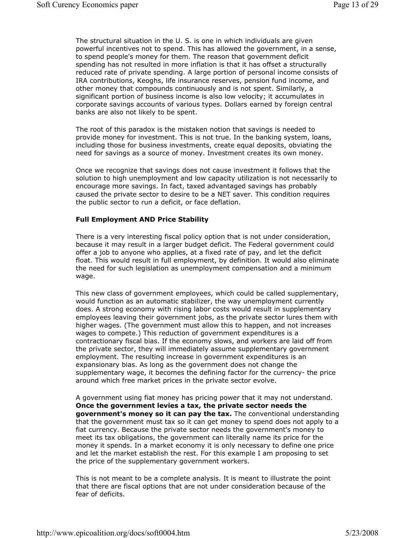The structural situation in the U. S. is one in which individuals are given powerful incentives not to spend. This has allowed the government, in a sense, to spend people's money for them. The reason that government deficit spending has not resulted in more inflation is that it has offset a structurally reduced rate of private spending. A large portion of personal income consists of IRA contributions, Keoghs, life insurance reserves, pension fund income, and other money that compounds continuously and is not spent. Similarly, a significant portion of business income is also low velocity; it accumulates in corporate savings accounts of various types. Dollars earned by foreign central banks are also not likely to be spent.

The root of this paradox is the mistaken notion that savings is needed to provide money for investment. This is not true. In the banking system, loans, including those for business investments, create equal deposits, obviating the need for savings as a source of money. Investment creates its own money.

Once we recognize that savings does not cause investment it follows that the solution to high unemployment and low capacity utilization is not necessarily to encourage more savings. In fact, taxed advantaged savings has probably caused the private sector to desire to be a NET saver. This condition requires the public sector to run a deficit, or face deflation.

## **Full Employment AND Price Stability**

There is a very interesting fiscal policy option that is not under consideration, because it may result in a larger budget deficit. The Federal government could offer a job to anyone who applies, at a fixed rate of pay, and let the deficit float. This would result in full employment, by definition. It would also eliminate the need for such legislation as unemployment compensation and a minimum wage.

This new class of government employees, which could be called supplementary, would function as an automatic stabilizer, the way unemployment currently does. A strong economy with rising labor costs would result in supplementary employees leaving their government jobs, as the private sector lures them with higher wages. (The government must allow this to happen, and not increases wages to compete.) This reduction of government expenditures is a contractionary fiscal bias. If the economy slows, and workers are laid off from the private sector, they will immediately assume supplementary government employment. The resulting increase in government expenditures is an expansionary bias. As long as the government does not change the supplementary wage, it becomes the defining factor for the currency- the price around which free market prices in the private sector evolve.

A government using fiat money has pricing power that it may not understand. **Once the government levies a tax, the private sector needs the government's money so it can pay the tax.** The conventional understanding that the government must tax so it can get money to spend does not apply to a fiat currency. Because the private sector needs the government's money to meet its tax obligations, the government can literally name its price for the money it spends. In a market economy it is only necessary to define one price and let the market establish the rest. For this example I am proposing to set the price of the supplementary government workers.

This is not meant to be a complete analysis. It is meant to illustrate the point that there are fiscal options that are not under consideration because of the fear of deficits.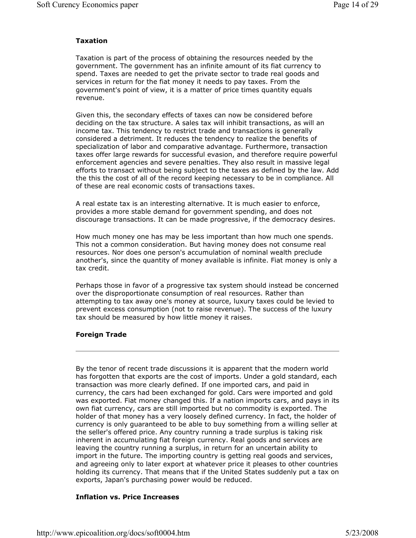## **Taxation**

Taxation is part of the process of obtaining the resources needed by the government. The government has an infinite amount of its fiat currency to spend. Taxes are needed to get the private sector to trade real goods and services in return for the fiat money it needs to pay taxes. From the government's point of view, it is a matter of price times quantity equals revenue.

Given this, the secondary effects of taxes can now be considered before deciding on the tax structure. A sales tax will inhibit transactions, as will an income tax. This tendency to restrict trade and transactions is generally considered a detriment. It reduces the tendency to realize the benefits of specialization of labor and comparative advantage. Furthermore, transaction taxes offer large rewards for successful evasion, and therefore require powerful enforcement agencies and severe penalties. They also result in massive legal efforts to transact without being subject to the taxes as defined by the law. Add the this the cost of all of the record keeping necessary to be in compliance. All of these are real economic costs of transactions taxes.

A real estate tax is an interesting alternative. It is much easier to enforce, provides a more stable demand for government spending, and does not discourage transactions. It can be made progressive, if the democracy desires.

How much money one has may be less important than how much one spends. This not a common consideration. But having money does not consume real resources. Nor does one person's accumulation of nominal wealth preclude another's, since the quantity of money available is infinite. Fiat money is only a tax credit.

Perhaps those in favor of a progressive tax system should instead be concerned over the disproportionate consumption of real resources. Rather than attempting to tax away one's money at source, luxury taxes could be levied to prevent excess consumption (not to raise revenue). The success of the luxury tax should be measured by how little money it raises.

#### **Foreign Trade**

By the tenor of recent trade discussions it is apparent that the modern world has forgotten that exports are the cost of imports. Under a gold standard, each transaction was more clearly defined. If one imported cars, and paid in currency, the cars had been exchanged for gold. Cars were imported and gold was exported. Fiat money changed this. If a nation imports cars, and pays in its own fiat currency, cars are still imported but no commodity is exported. The holder of that money has a very loosely defined currency. In fact, the holder of currency is only guaranteed to be able to buy something from a willing seller at the seller's offered price. Any country running a trade surplus is taking risk inherent in accumulating fiat foreign currency. Real goods and services are leaving the country running a surplus, in return for an uncertain ability to import in the future. The importing country is getting real goods and services, and agreeing only to later export at whatever price it pleases to other countries holding its currency. That means that if the United States suddenly put a tax on exports, Japan's purchasing power would be reduced.

#### **Inflation vs. Price Increases**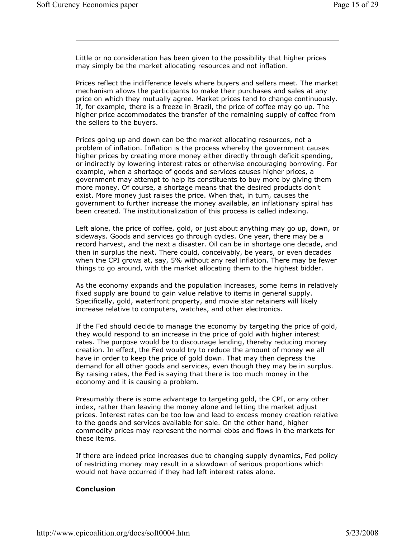Little or no consideration has been given to the possibility that higher prices may simply be the market allocating resources and not inflation.

Prices reflect the indifference levels where buyers and sellers meet. The market mechanism allows the participants to make their purchases and sales at any price on which they mutually agree. Market prices tend to change continuously. If, for example, there is a freeze in Brazil, the price of coffee may go up. The higher price accommodates the transfer of the remaining supply of coffee from the sellers to the buyers.

Prices going up and down can be the market allocating resources, not a problem of inflation. Inflation is the process whereby the government causes higher prices by creating more money either directly through deficit spending, or indirectly by lowering interest rates or otherwise encouraging borrowing. For example, when a shortage of goods and services causes higher prices, a government may attempt to help its constituents to buy more by giving them more money. Of course, a shortage means that the desired products don't exist. More money just raises the price. When that, in turn, causes the government to further increase the money available, an inflationary spiral has been created. The institutionalization of this process is called indexing.

Left alone, the price of coffee, gold, or just about anything may go up, down, or sideways. Goods and services go through cycles. One year, there may be a record harvest, and the next a disaster. Oil can be in shortage one decade, and then in surplus the next. There could, conceivably, be years, or even decades when the CPI grows at, say, 5% without any real inflation. There may be fewer things to go around, with the market allocating them to the highest bidder.

As the economy expands and the population increases, some items in relatively fixed supply are bound to gain value relative to items in general supply. Specifically, gold, waterfront property, and movie star retainers will likely increase relative to computers, watches, and other electronics.

If the Fed should decide to manage the economy by targeting the price of gold, they would respond to an increase in the price of gold with higher interest rates. The purpose would be to discourage lending, thereby reducing money creation. In effect, the Fed would try to reduce the amount of money we all have in order to keep the price of gold down. That may then depress the demand for all other goods and services, even though they may be in surplus. By raising rates, the Fed is saying that there is too much money in the economy and it is causing a problem.

Presumably there is some advantage to targeting gold, the CPI, or any other index, rather than leaving the money alone and letting the market adjust prices. Interest rates can be too low and lead to excess money creation relative to the goods and services available for sale. On the other hand, higher commodity prices may represent the normal ebbs and flows in the markets for these items.

If there are indeed price increases due to changing supply dynamics, Fed policy of restricting money may result in a slowdown of serious proportions which would not have occurred if they had left interest rates alone.

#### **Conclusion**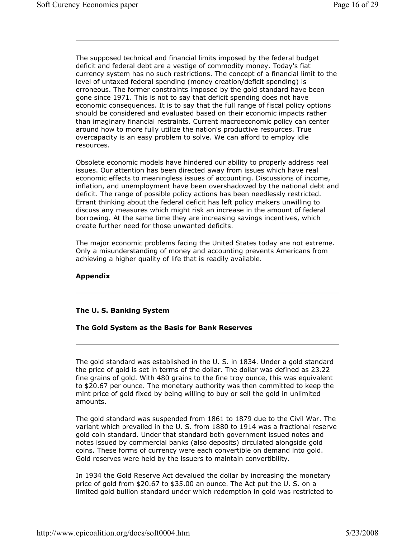The supposed technical and financial limits imposed by the federal budget deficit and federal debt are a vestige of commodity money. Today's fiat currency system has no such restrictions. The concept of a financial limit to the level of untaxed federal spending (money creation/deficit spending) is erroneous. The former constraints imposed by the gold standard have been gone since 1971. This is not to say that deficit spending does not have economic consequences. It is to say that the full range of fiscal policy options should be considered and evaluated based on their economic impacts rather than imaginary financial restraints. Current macroeconomic policy can center around how to more fully utilize the nation's productive resources. True overcapacity is an easy problem to solve. We can afford to employ idle resources.

Obsolete economic models have hindered our ability to properly address real issues. Our attention has been directed away from issues which have real economic effects to meaningless issues of accounting. Discussions of income, inflation, and unemployment have been overshadowed by the national debt and deficit. The range of possible policy actions has been needlessly restricted. Errant thinking about the federal deficit has left policy makers unwilling to discuss any measures which might risk an increase in the amount of federal borrowing. At the same time they are increasing savings incentives, which create further need for those unwanted deficits.

The major economic problems facing the United States today are not extreme. Only a misunderstanding of money and accounting prevents Americans from achieving a higher quality of life that is readily available.

## **Appendix**

#### **The U. S. Banking System**

#### **The Gold System as the Basis for Bank Reserves**

The gold standard was established in the U. S. in 1834. Under a gold standard the price of gold is set in terms of the dollar. The dollar was defined as 23.22 fine grains of gold. With 480 grains to the fine troy ounce, this was equivalent to \$20.67 per ounce. The monetary authority was then committed to keep the mint price of gold fixed by being willing to buy or sell the gold in unlimited amounts.

The gold standard was suspended from 1861 to 1879 due to the Civil War. The variant which prevailed in the U. S. from 1880 to 1914 was a fractional reserve gold coin standard. Under that standard both government issued notes and notes issued by commercial banks (also deposits) circulated alongside gold coins. These forms of currency were each convertible on demand into gold. Gold reserves were held by the issuers to maintain convertibility.

In 1934 the Gold Reserve Act devalued the dollar by increasing the monetary price of gold from \$20.67 to \$35.00 an ounce. The Act put the U. S. on a limited gold bullion standard under which redemption in gold was restricted to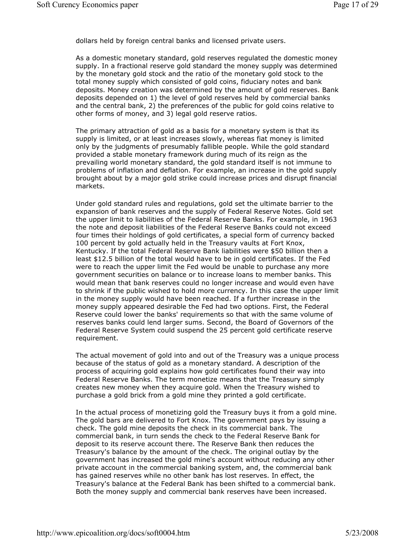dollars held by foreign central banks and licensed private users.

As a domestic monetary standard, gold reserves regulated the domestic money supply. In a fractional reserve gold standard the money supply was determined by the monetary gold stock and the ratio of the monetary gold stock to the total money supply which consisted of gold coins, fiduciary notes and bank deposits. Money creation was determined by the amount of gold reserves. Bank deposits depended on 1) the level of gold reserves held by commercial banks and the central bank, 2) the preferences of the public for gold coins relative to other forms of money, and 3) legal gold reserve ratios.

The primary attraction of gold as a basis for a monetary system is that its supply is limited, or at least increases slowly, whereas fiat money is limited only by the judgments of presumably fallible people. While the gold standard provided a stable monetary framework during much of its reign as the prevailing world monetary standard, the gold standard itself is not immune to problems of inflation and deflation. For example, an increase in the gold supply brought about by a major gold strike could increase prices and disrupt financial markets.

Under gold standard rules and regulations, gold set the ultimate barrier to the expansion of bank reserves and the supply of Federal Reserve Notes. Gold set the upper limit to liabilities of the Federal Reserve Banks. For example, in 1963 the note and deposit liabilities of the Federal Reserve Banks could not exceed four times their holdings of gold certificates, a special form of currency backed 100 percent by gold actually held in the Treasury vaults at Fort Knox, Kentucky. If the total Federal Reserve Bank liabilities were \$50 billion then a least \$12.5 billion of the total would have to be in gold certificates. If the Fed were to reach the upper limit the Fed would be unable to purchase any more government securities on balance or to increase loans to member banks. This would mean that bank reserves could no longer increase and would even have to shrink if the public wished to hold more currency. In this case the upper limit in the money supply would have been reached. If a further increase in the money supply appeared desirable the Fed had two options. First, the Federal Reserve could lower the banks' requirements so that with the same volume of reserves banks could lend larger sums. Second, the Board of Governors of the Federal Reserve System could suspend the 25 percent gold certificate reserve requirement.

The actual movement of gold into and out of the Treasury was a unique process because of the status of gold as a monetary standard. A description of the process of acquiring gold explains how gold certificates found their way into Federal Reserve Banks. The term monetize means that the Treasury simply creates new money when they acquire gold. When the Treasury wished to purchase a gold brick from a gold mine they printed a gold certificate.

In the actual process of monetizing gold the Treasury buys it from a gold mine. The gold bars are delivered to Fort Knox. The government pays by issuing a check. The gold mine deposits the check in its commercial bank. The commercial bank, in turn sends the check to the Federal Reserve Bank for deposit to its reserve account there. The Reserve Bank then reduces the Treasury's balance by the amount of the check. The original outlay by the government has increased the gold mine's account without reducing any other private account in the commercial banking system, and, the commercial bank has gained reserves while no other bank has lost reserves. In effect, the Treasury's balance at the Federal Bank has been shifted to a commercial bank. Both the money supply and commercial bank reserves have been increased.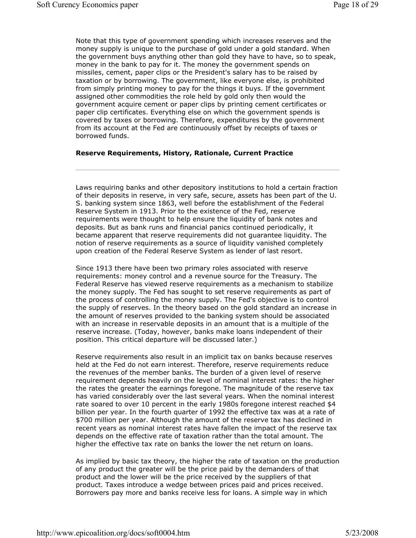Note that this type of government spending which increases reserves and the money supply is unique to the purchase of gold under a gold standard. When the government buys anything other than gold they have to have, so to speak, money in the bank to pay for it. The money the government spends on missiles, cement, paper clips or the President's salary has to be raised by taxation or by borrowing. The government, like everyone else, is prohibited from simply printing money to pay for the things it buys. If the government assigned other commodities the role held by gold only then would the government acquire cement or paper clips by printing cement certificates or paper clip certificates. Everything else on which the government spends is covered by taxes or borrowing. Therefore, expenditures by the government from its account at the Fed are continuously offset by receipts of taxes or borrowed funds.

## **Reserve Requirements, History, Rationale, Current Practice**

Laws requiring banks and other depository institutions to hold a certain fraction of their deposits in reserve, in very safe, secure, assets has been part of the U. S. banking system since 1863, well before the establishment of the Federal Reserve System in 1913. Prior to the existence of the Fed, reserve requirements were thought to help ensure the liquidity of bank notes and deposits. But as bank runs and financial panics continued periodically, it became apparent that reserve requirements did not guarantee liquidity. The notion of reserve requirements as a source of liquidity vanished completely upon creation of the Federal Reserve System as lender of last resort.

Since 1913 there have been two primary roles associated with reserve requirements: money control and a revenue source for the Treasury. The Federal Reserve has viewed reserve requirements as a mechanism to stabilize the money supply. The Fed has sought to set reserve requirements as part of the process of controlling the money supply. The Fed's objective is to control the supply of reserves. In the theory based on the gold standard an increase in the amount of reserves provided to the banking system should be associated with an increase in reservable deposits in an amount that is a multiple of the reserve increase. (Today, however, banks make loans independent of their position. This critical departure will be discussed later.)

Reserve requirements also result in an implicit tax on banks because reserves held at the Fed do not earn interest. Therefore, reserve requirements reduce the revenues of the member banks. The burden of a given level of reserve requirement depends heavily on the level of nominal interest rates: the higher the rates the greater the earnings foregone. The magnitude of the reserve tax has varied considerably over the last several years. When the nominal interest rate soared to over 10 percent in the early 1980s foregone interest reached \$4 billion per year. In the fourth quarter of 1992 the effective tax was at a rate of \$700 million per year. Although the amount of the reserve tax has declined in recent years as nominal interest rates have fallen the impact of the reserve tax depends on the effective rate of taxation rather than the total amount. The higher the effective tax rate on banks the lower the net return on loans.

As implied by basic tax theory, the higher the rate of taxation on the production of any product the greater will be the price paid by the demanders of that product and the lower will be the price received by the suppliers of that product. Taxes introduce a wedge between prices paid and prices received. Borrowers pay more and banks receive less for loans. A simple way in which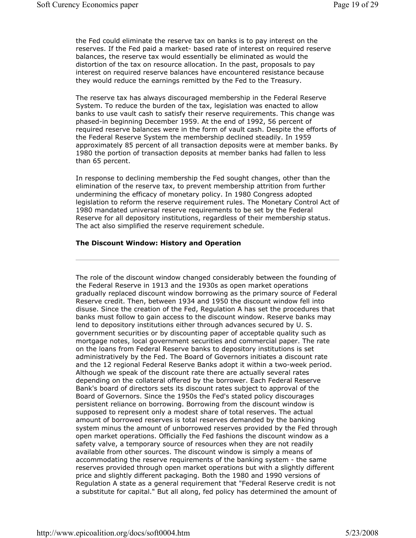the Fed could eliminate the reserve tax on banks is to pay interest on the reserves. If the Fed paid a market- based rate of interest on required reserve balances, the reserve tax would essentially be eliminated as would the distortion of the tax on resource allocation. In the past, proposals to pay interest on required reserve balances have encountered resistance because they would reduce the earnings remitted by the Fed to the Treasury.

The reserve tax has always discouraged membership in the Federal Reserve System. To reduce the burden of the tax, legislation was enacted to allow banks to use vault cash to satisfy their reserve requirements. This change was phased-in beginning December 1959. At the end of 1992, 56 percent of required reserve balances were in the form of vault cash. Despite the efforts of the Federal Reserve System the membership declined steadily. In 1959 approximately 85 percent of all transaction deposits were at member banks. By 1980 the portion of transaction deposits at member banks had fallen to less than 65 percent.

In response to declining membership the Fed sought changes, other than the elimination of the reserve tax, to prevent membership attrition from further undermining the efficacy of monetary policy. In 1980 Congress adopted legislation to reform the reserve requirement rules. The Monetary Control Act of 1980 mandated universal reserve requirements to be set by the Federal Reserve for all depository institutions, regardless of their membership status. The act also simplified the reserve requirement schedule.

## **The Discount Window: History and Operation**

The role of the discount window changed considerably between the founding of the Federal Reserve in 1913 and the 1930s as open market operations gradually replaced discount window borrowing as the primary source of Federal Reserve credit. Then, between 1934 and 1950 the discount window fell into disuse. Since the creation of the Fed, Regulation A has set the procedures that banks must follow to gain access to the discount window. Reserve banks may lend to depository institutions either through advances secured by U. S. government securities or by discounting paper of acceptable quality such as mortgage notes, local government securities and commercial paper. The rate on the loans from Federal Reserve banks to depository institutions is set administratively by the Fed. The Board of Governors initiates a discount rate and the 12 regional Federal Reserve Banks adopt it within a two-week period. Although we speak of the discount rate there are actually several rates depending on the collateral offered by the borrower. Each Federal Reserve Bank's board of directors sets its discount rates subject to approval of the Board of Governors. Since the 1950s the Fed's stated policy discourages persistent reliance on borrowing. Borrowing from the discount window is supposed to represent only a modest share of total reserves. The actual amount of borrowed reserves is total reserves demanded by the banking system minus the amount of unborrowed reserves provided by the Fed through open market operations. Officially the Fed fashions the discount window as a safety valve, a temporary source of resources when they are not readily available from other sources. The discount window is simply a means of accommodating the reserve requirements of the banking system - the same reserves provided through open market operations but with a slightly different price and slightly different packaging. Both the 1980 and 1990 versions of Regulation A state as a general requirement that "Federal Reserve credit is not a substitute for capital." But all along, fed policy has determined the amount of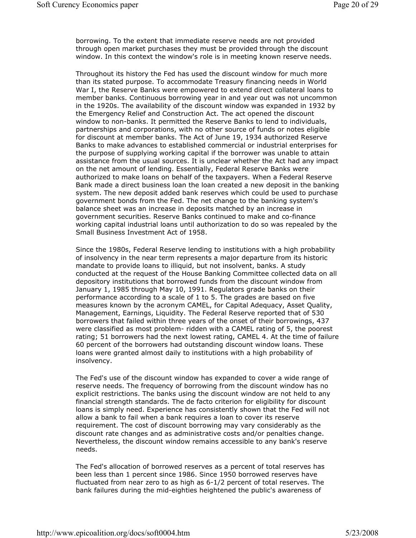borrowing. To the extent that immediate reserve needs are not provided through open market purchases they must be provided through the discount window. In this context the window's role is in meeting known reserve needs.

Throughout its history the Fed has used the discount window for much more than its stated purpose. To accommodate Treasury financing needs in World War I, the Reserve Banks were empowered to extend direct collateral loans to member banks. Continuous borrowing year in and year out was not uncommon in the 1920s. The availability of the discount window was expanded in 1932 by the Emergency Relief and Construction Act. The act opened the discount window to non-banks. It permitted the Reserve Banks to lend to individuals, partnerships and corporations, with no other source of funds or notes eligible for discount at member banks. The Act of June 19, 1934 authorized Reserve Banks to make advances to established commercial or industrial enterprises for the purpose of supplying working capital if the borrower was unable to attain assistance from the usual sources. It is unclear whether the Act had any impact on the net amount of lending. Essentially, Federal Reserve Banks were authorized to make loans on behalf of the taxpayers. When a Federal Reserve Bank made a direct business loan the loan created a new deposit in the banking system. The new deposit added bank reserves which could be used to purchase government bonds from the Fed. The net change to the banking system's balance sheet was an increase in deposits matched by an increase in government securities. Reserve Banks continued to make and co-finance working capital industrial loans until authorization to do so was repealed by the Small Business Investment Act of 1958.

Since the 1980s, Federal Reserve lending to institutions with a high probability of insolvency in the near term represents a major departure from its historic mandate to provide loans to illiquid, but not insolvent, banks. A study conducted at the request of the House Banking Committee collected data on all depository institutions that borrowed funds from the discount window from January 1, 1985 through May 10, 1991. Regulators grade banks on their performance according to a scale of 1 to 5. The grades are based on five measures known by the acronym CAMEL, for Capital Adequacy, Asset Quality, Management, Earnings, Liquidity. The Federal Reserve reported that of 530 borrowers that failed within three years of the onset of their borrowings, 437 were classified as most problem- ridden with a CAMEL rating of 5, the poorest rating; 51 borrowers had the next lowest rating, CAMEL 4. At the time of failure 60 percent of the borrowers had outstanding discount window loans. These loans were granted almost daily to institutions with a high probability of insolvency.

The Fed's use of the discount window has expanded to cover a wide range of reserve needs. The frequency of borrowing from the discount window has no explicit restrictions. The banks using the discount window are not held to any financial strength standards. The de facto criterion for eligibility for discount loans is simply need. Experience has consistently shown that the Fed will not allow a bank to fail when a bank requires a loan to cover its reserve requirement. The cost of discount borrowing may vary considerably as the discount rate changes and as administrative costs and/or penalties change. Nevertheless, the discount window remains accessible to any bank's reserve needs.

The Fed's allocation of borrowed reserves as a percent of total reserves has been less than 1 percent since 1986. Since 1950 borrowed reserves have fluctuated from near zero to as high as 6-1/2 percent of total reserves. The bank failures during the mid-eighties heightened the public's awareness of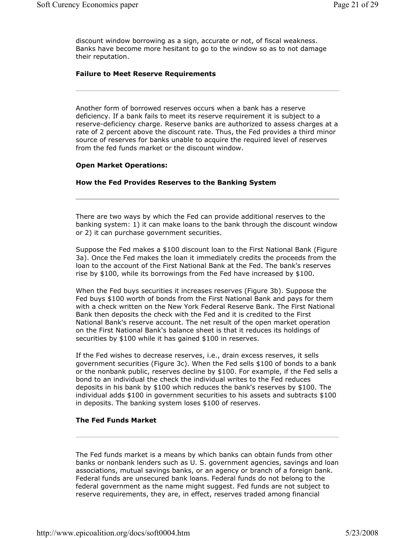discount window borrowing as a sign, accurate or not, of fiscal weakness. Banks have become more hesitant to go to the window so as to not damage their reputation.

#### **Failure to Meet Reserve Requirements**

Another form of borrowed reserves occurs when a bank has a reserve deficiency. If a bank fails to meet its reserve requirement it is subject to a reserve-deficiency charge. Reserve banks are authorized to assess charges at a rate of 2 percent above the discount rate. Thus, the Fed provides a third minor source of reserves for banks unable to acquire the required level of reserves from the fed funds market or the discount window.

#### **Open Market Operations:**

#### **How the Fed Provides Reserves to the Banking System**

There are two ways by which the Fed can provide additional reserves to the banking system: 1) it can make loans to the bank through the discount window or 2) it can purchase government securities.

Suppose the Fed makes a \$100 discount loan to the First National Bank (Figure 3a). Once the Fed makes the loan it immediately credits the proceeds from the loan to the account of the First National Bank at the Fed. The bank's reserves rise by \$100, while its borrowings from the Fed have increased by \$100.

When the Fed buys securities it increases reserves (Figure 3b). Suppose the Fed buys \$100 worth of bonds from the First National Bank and pays for them with a check written on the New York Federal Reserve Bank. The First National Bank then deposits the check with the Fed and it is credited to the First National Bank's reserve account. The net result of the open market operation on the First National Bank's balance sheet is that it reduces its holdings of securities by \$100 while it has gained \$100 in reserves.

If the Fed wishes to decrease reserves, i.e., drain excess reserves, it sells government securities (Figure 3c). When the Fed sells \$100 of bonds to a bank or the nonbank public, reserves decline by \$100. For example, if the Fed sells a bond to an individual the check the individual writes to the Fed reduces deposits in his bank by \$100 which reduces the bank's reserves by \$100. The individual adds \$100 in government securities to his assets and subtracts \$100 in deposits. The banking system loses \$100 of reserves.

#### **The Fed Funds Market**

The Fed funds market is a means by which banks can obtain funds from other banks or nonbank lenders such as U. S. government agencies, savings and loan associations, mutual savings banks, or an agency or branch of a foreign bank. Federal funds are unsecured bank loans. Federal funds do not belong to the federal government as the name might suggest. Fed funds are not subject to reserve requirements, they are, in effect, reserves traded among financial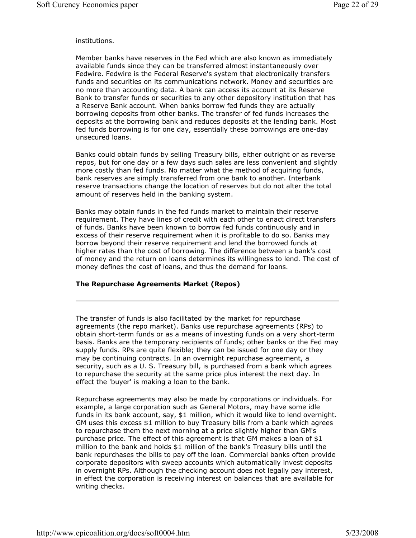#### institutions.

Member banks have reserves in the Fed which are also known as immediately available funds since they can be transferred almost instantaneously over Fedwire. Fedwire is the Federal Reserve's system that electronically transfers funds and securities on its communications network. Money and securities are no more than accounting data. A bank can access its account at its Reserve Bank to transfer funds or securities to any other depository institution that has a Reserve Bank account. When banks borrow fed funds they are actually borrowing deposits from other banks. The transfer of fed funds increases the deposits at the borrowing bank and reduces deposits at the lending bank. Most fed funds borrowing is for one day, essentially these borrowings are one-day unsecured loans.

Banks could obtain funds by selling Treasury bills, either outright or as reverse repos, but for one day or a few days such sales are less convenient and slightly more costly than fed funds. No matter what the method of acquiring funds, bank reserves are simply transferred from one bank to another. Interbank reserve transactions change the location of reserves but do not alter the total amount of reserves held in the banking system.

Banks may obtain funds in the fed funds market to maintain their reserve requirement. They have lines of credit with each other to enact direct transfers of funds. Banks have been known to borrow fed funds continuously and in excess of their reserve requirement when it is profitable to do so. Banks may borrow beyond their reserve requirement and lend the borrowed funds at higher rates than the cost of borrowing. The difference between a bank's cost of money and the return on loans determines its willingness to lend. The cost of money defines the cost of loans, and thus the demand for loans.

#### **The Repurchase Agreements Market (Repos)**

The transfer of funds is also facilitated by the market for repurchase agreements (the repo market). Banks use repurchase agreements (RPs) to obtain short-term funds or as a means of investing funds on a very short-term basis. Banks are the temporary recipients of funds; other banks or the Fed may supply funds. RPs are quite flexible; they can be issued for one day or they may be continuing contracts. In an overnight repurchase agreement, a security, such as a U. S. Treasury bill, is purchased from a bank which agrees to repurchase the security at the same price plus interest the next day. In effect the 'buyer' is making a loan to the bank.

Repurchase agreements may also be made by corporations or individuals. For example, a large corporation such as General Motors, may have some idle funds in its bank account, say, \$1 million, which it would like to lend overnight. GM uses this excess \$1 million to buy Treasury bills from a bank which agrees to repurchase them the next morning at a price slightly higher than GM's purchase price. The effect of this agreement is that GM makes a loan of \$1 million to the bank and holds \$1 million of the bank's Treasury bills until the bank repurchases the bills to pay off the loan. Commercial banks often provide corporate depositors with sweep accounts which automatically invest deposits in overnight RPs. Although the checking account does not legally pay interest, in effect the corporation is receiving interest on balances that are available for writing checks.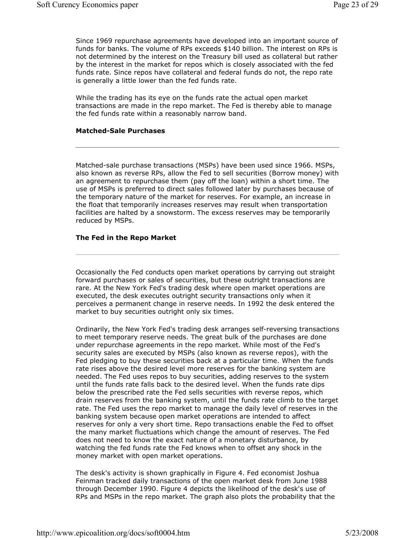Since 1969 repurchase agreements have developed into an important source of funds for banks. The volume of RPs exceeds \$140 billion. The interest on RPs is not determined by the interest on the Treasury bill used as collateral but rather by the interest in the market for repos which is closely associated with the fed funds rate. Since repos have collateral and federal funds do not, the repo rate is generally a little lower than the fed funds rate.

While the trading has its eye on the funds rate the actual open market transactions are made in the repo market. The Fed is thereby able to manage the fed funds rate within a reasonably narrow band.

#### **Matched-Sale Purchases**

Matched-sale purchase transactions (MSPs) have been used since 1966. MSPs, also known as reverse RPs, allow the Fed to sell securities (Borrow money) with an agreement to repurchase them (pay off the loan) within a short time. The use of MSPs is preferred to direct sales followed later by purchases because of the temporary nature of the market for reserves. For example, an increase in the float that temporarily increases reserves may result when transportation facilities are halted by a snowstorm. The excess reserves may be temporarily reduced by MSPs.

#### **The Fed in the Repo Market**

Occasionally the Fed conducts open market operations by carrying out straight forward purchases or sales of securities, but these outright transactions are rare. At the New York Fed's trading desk where open market operations are executed, the desk executes outright security transactions only when it perceives a permanent change in reserve needs. In 1992 the desk entered the market to buy securities outright only six times.

Ordinarily, the New York Fed's trading desk arranges self-reversing transactions to meet temporary reserve needs. The great bulk of the purchases are done under repurchase agreements in the repo market. While most of the Fed's security sales are executed by MSPs (also known as reverse repos), with the Fed pledging to buy these securities back at a particular time. When the funds rate rises above the desired level more reserves for the banking system are needed. The Fed uses repos to buy securities, adding reserves to the system until the funds rate falls back to the desired level. When the funds rate dips below the prescribed rate the Fed sells securities with reverse repos, which drain reserves from the banking system, until the funds rate climb to the target rate. The Fed uses the repo market to manage the daily level of reserves in the banking system because open market operations are intended to affect reserves for only a very short time. Repo transactions enable the Fed to offset the many market fluctuations which change the amount of reserves. The Fed does not need to know the exact nature of a monetary disturbance, by watching the fed funds rate the Fed knows when to offset any shock in the money market with open market operations.

The desk's activity is shown graphically in Figure 4. Fed economist Joshua Feinman tracked daily transactions of the open market desk from June 1988 through December 1990. Figure 4 depicts the likelihood of the desk's use of RPs and MSPs in the repo market. The graph also plots the probability that the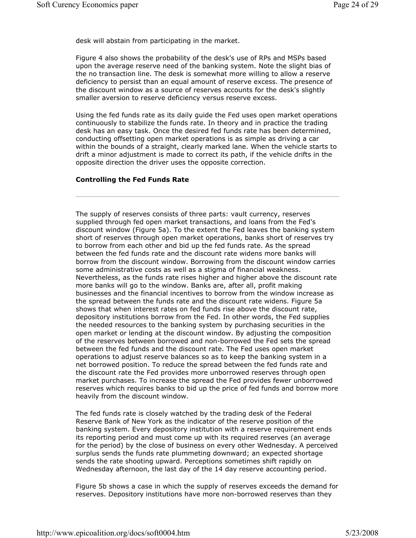desk will abstain from participating in the market.

Figure 4 also shows the probability of the desk's use of RPs and MSPs based upon the average reserve need of the banking system. Note the slight bias of the no transaction line. The desk is somewhat more willing to allow a reserve deficiency to persist than an equal amount of reserve excess. The presence of the discount window as a source of reserves accounts for the desk's slightly smaller aversion to reserve deficiency versus reserve excess.

Using the fed funds rate as its daily guide the Fed uses open market operations continuously to stabilize the funds rate. In theory and in practice the trading desk has an easy task. Once the desired fed funds rate has been determined, conducting offsetting open market operations is as simple as driving a car within the bounds of a straight, clearly marked lane. When the vehicle starts to drift a minor adjustment is made to correct its path, if the vehicle drifts in the opposite direction the driver uses the opposite correction.

## **Controlling the Fed Funds Rate**

The supply of reserves consists of three parts: vault currency, reserves supplied through fed open market transactions, and loans from the Fed's discount window (Figure 5a). To the extent the Fed leaves the banking system short of reserves through open market operations, banks short of reserves try to borrow from each other and bid up the fed funds rate. As the spread between the fed funds rate and the discount rate widens more banks will borrow from the discount window. Borrowing from the discount window carries some administrative costs as well as a stigma of financial weakness. Nevertheless, as the funds rate rises higher and higher above the discount rate more banks will go to the window. Banks are, after all, profit making businesses and the financial incentives to borrow from the window increase as the spread between the funds rate and the discount rate widens. Figure 5a shows that when interest rates on fed funds rise above the discount rate, depository institutions borrow from the Fed. In other words, the Fed supplies the needed resources to the banking system by purchasing securities in the open market or lending at the discount window. By adjusting the composition of the reserves between borrowed and non-borrowed the Fed sets the spread between the fed funds and the discount rate. The Fed uses open market operations to adjust reserve balances so as to keep the banking system in a net borrowed position. To reduce the spread between the fed funds rate and the discount rate the Fed provides more unborrowed reserves through open market purchases. To increase the spread the Fed provides fewer unborrowed reserves which requires banks to bid up the price of fed funds and borrow more heavily from the discount window.

The fed funds rate is closely watched by the trading desk of the Federal Reserve Bank of New York as the indicator of the reserve position of the banking system. Every depository institution with a reserve requirement ends its reporting period and must come up with its required reserves (an average for the period) by the close of business on every other Wednesday. A perceived surplus sends the funds rate plummeting downward; an expected shortage sends the rate shooting upward. Perceptions sometimes shift rapidly on Wednesday afternoon, the last day of the 14 day reserve accounting period.

Figure 5b shows a case in which the supply of reserves exceeds the demand for reserves. Depository institutions have more non-borrowed reserves than they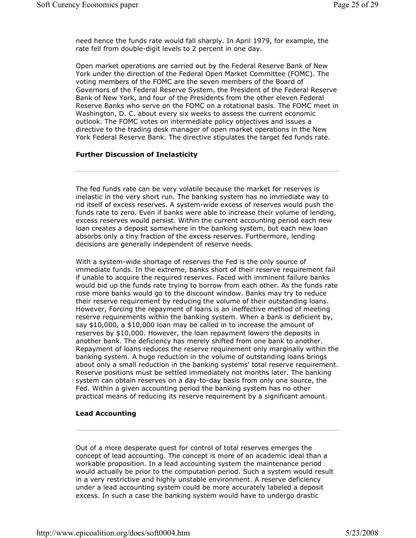need hence the funds rate would fall sharply. In April 1979, for example, the rate fell from double-digit levels to 2 percent in one day.

Open market operations are carried out by the Federal Reserve Bank of New York under the direction of the Federal Open Market Committee (FOMC). The voting members of the FOMC are the seven members of the Board of Governors of the Federal Reserve System, the President of the Federal Reserve Bank of New York, and four of the Presidents from the other eleven Federal Reserve Banks who serve on the FOMC on a rotational basis. The FOMC meet in Washington, D. C. about every six weeks to assess the current economic outlook. The FOMC votes on intermediate policy objectives and issues a directive to the trading desk manager of open market operations in the New York Federal Reserve Bank. The directive stipulates the target fed funds rate.

#### **Further Discussion of Inelasticity**

The fed funds rate can be very volatile because the market for reserves is inelastic in the very short run. The banking system has no immediate way to rid itself of excess reserves. A system-wide excess of reserves would push the funds rate to zero. Even if banks were able to increase their volume of lending, excess reserves would persist. Within the current accounting period each new loan creates a deposit somewhere in the banking system, but each new loan absorbs only a tiny fraction of the excess reserves. Furthermore, lending decisions are generally independent of reserve needs.

With a system-wide shortage of reserves the Fed is the only source of immediate funds. In the extreme, banks short of their reserve requirement fail if unable to acquire the required reserves. Faced with imminent failure banks would bid up the funds rate trying to borrow from each other. As the funds rate rose more banks would go to the discount window. Banks may try to reduce their reserve requirement by reducing the volume of their outstanding loans. However, Forcing the repayment of loans is an ineffective method of meeting reserve requirements within the banking system. When a bank is deficient by, say \$10,000, a \$10,000 loan may be called in to increase the amount of reserves by \$10,000. However, the loan repayment lowers the deposits in another bank. The deficiency has merely shifted from one bank to another. Repayment of loans reduces the reserve requirement only marginally within the banking system. A huge reduction in the volume of outstanding loans brings about only a small reduction in the banking systems' total reserve requirement. Reserve positions must be settled immediately not months later. The banking system can obtain reserves on a day-to-day basis from only one source, the Fed. Within a given accounting period the banking system has no other practical means of reducing its reserve requirement by a significant amount.

#### **Lead Accounting**

Out of a more desperate quest for control of total reserves emerges the concept of lead accounting. The concept is more of an academic ideal than a workable proposition. In a lead accounting system the maintenance period would actually be prior to the computation period. Such a system would result in a very restrictive and highly unstable environment. A reserve deficiency under a lead accounting system could be more accurately labeled a deposit excess. In such a case the banking system would have to undergo drastic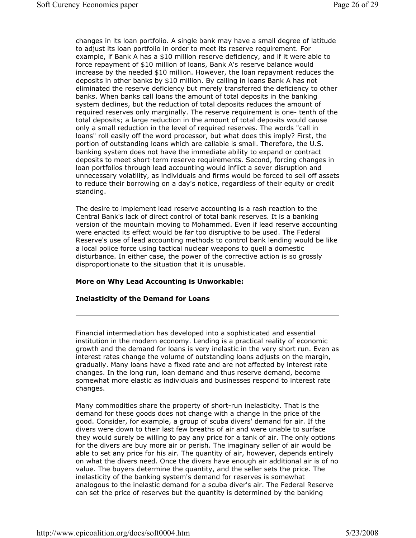changes in its loan portfolio. A single bank may have a small degree of latitude to adjust its loan portfolio in order to meet its reserve requirement. For example, if Bank A has a \$10 million reserve deficiency, and if it were able to force repayment of \$10 million of loans, Bank A's reserve balance would increase by the needed \$10 million. However, the loan repayment reduces the deposits in other banks by \$10 million. By calling in loans Bank A has not eliminated the reserve deficiency but merely transferred the deficiency to other banks. When banks call loans the amount of total deposits in the banking system declines, but the reduction of total deposits reduces the amount of required reserves only marginally. The reserve requirement is one- tenth of the total deposits; a large reduction in the amount of total deposits would cause only a small reduction in the level of required reserves. The words "call in loans" roll easily off the word processor, but what does this imply? First, the portion of outstanding loans which are callable is small. Therefore, the U.S. banking system does not have the immediate ability to expand or contract deposits to meet short-term reserve requirements. Second, forcing changes in loan portfolios through lead accounting would inflict a sever disruption and unnecessary volatility, as individuals and firms would be forced to sell off assets to reduce their borrowing on a day's notice, regardless of their equity or credit standing.

The desire to implement lead reserve accounting is a rash reaction to the Central Bank's lack of direct control of total bank reserves. It is a banking version of the mountain moving to Mohammed. Even if lead reserve accounting were enacted its effect would be far too disruptive to be used. The Federal Reserve's use of lead accounting methods to control bank lending would be like a local police force using tactical nuclear weapons to quell a domestic disturbance. In either case, the power of the corrective action is so grossly disproportionate to the situation that it is unusable.

#### **More on Why Lead Accounting is Unworkable:**

#### **Inelasticity of the Demand for Loans**

Financial intermediation has developed into a sophisticated and essential institution in the modern economy. Lending is a practical reality of economic growth and the demand for loans is very inelastic in the very short run. Even as interest rates change the volume of outstanding loans adjusts on the margin, gradually. Many loans have a fixed rate and are not affected by interest rate changes. In the long run, loan demand and thus reserve demand, become somewhat more elastic as individuals and businesses respond to interest rate changes.

Many commodities share the property of short-run inelasticity. That is the demand for these goods does not change with a change in the price of the good. Consider, for example, a group of scuba divers' demand for air. If the divers were down to their last few breaths of air and were unable to surface they would surely be willing to pay any price for a tank of air. The only options for the divers are buy more air or perish. The imaginary seller of air would be able to set any price for his air. The quantity of air, however, depends entirely on what the divers need. Once the divers have enough air additional air is of no value. The buyers determine the quantity, and the seller sets the price. The inelasticity of the banking system's demand for reserves is somewhat analogous to the inelastic demand for a scuba diver's air. The Federal Reserve can set the price of reserves but the quantity is determined by the banking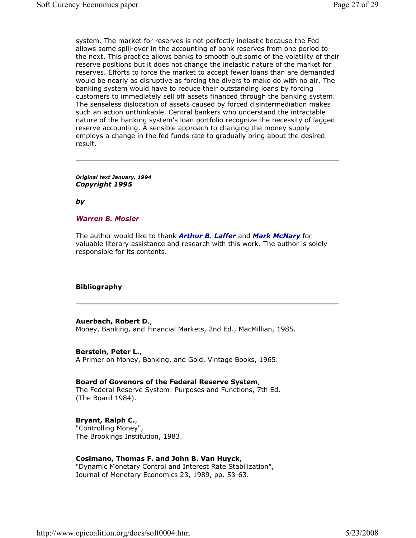system. The market for reserves is not perfectly inelastic because the Fed allows some spill-over in the accounting of bank reserves from one period to the next. This practice allows banks to smooth out some of the volatility of their reserve positions but it does not change the inelastic nature of the market for reserves. Efforts to force the market to accept fewer loans than are demanded would be nearly as disruptive as forcing the divers to make do with no air. The banking system would have to reduce their outstanding loans by forcing customers to immediately sell off assets financed through the banking system. The senseless dislocation of assets caused by forced disintermediation makes such an action unthinkable. Central bankers who understand the intractable nature of the banking system's loan portfolio recognize the necessity of lagged reserve accounting. A sensible approach to changing the money supply employs a change in the fed funds rate to gradually bring about the desired result.

*Original text January, 1994 Copyright 1995*

*by*

#### *Warren B. Mosler*

The author would like to thank *Arthur B. Laffer* and *Mark McNary* for valuable literary assistance and research with this work. The author is solely responsible for its contents.

#### **Bibliography**

#### **Auerbach, Robert D**.,

Money, Banking, and Financial Markets, 2nd Ed., MacMillian, 1985.

**Berstein, Peter L.**, A Primer on Money, Banking, and Gold, Vintage Books, 1965.

**Board of Govenors of the Federal Reserve System**, The Federal Reserve System: Purposes and Functions, 7th Ed. (The Board 1984).

**Bryant, Ralph C.**, "Controlling Money", The Brookings Institution, 1983.

## **Cosimano, Thomas F. and John B. Van Huyck**,

"Dynamic Monetary Control and Interest Rate Stabilization", Journal of Monetary Economics 23, 1989, pp. 53-63.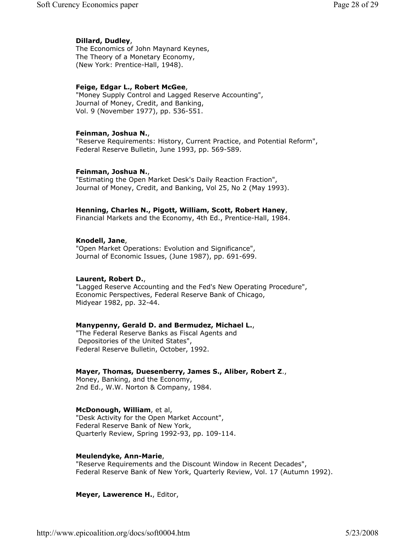## **Dillard, Dudley**,

The Economics of John Maynard Keynes, The Theory of a Monetary Economy, (New York: Prentice-Hall, 1948).

#### **Feige, Edgar L., Robert McGee**,

"Money Supply Control and Lagged Reserve Accounting", Journal of Money, Credit, and Banking, Vol. 9 (November 1977), pp. 536-551.

## **Feinman, Joshua N.**,

"Reserve Requirements: History, Current Practice, and Potential Reform", Federal Reserve Bulletin, June 1993, pp. 569-589.

## **Feinman, Joshua N.**,

"Estimating the Open Market Desk's Daily Reaction Fraction", Journal of Money, Credit, and Banking, Vol 25, No 2 (May 1993).

## **Henning, Charles N., Pigott, William, Scott, Robert Haney**,

Financial Markets and the Economy, 4th Ed., Prentice-Hall, 1984.

## **Knodell, Jane**,

"Open Market Operations: Evolution and Significance", Journal of Economic Issues, (June 1987), pp. 691-699.

#### **Laurent, Robert D.**,

"Lagged Reserve Accounting and the Fed's New Operating Procedure", Economic Perspectives, Federal Reserve Bank of Chicago, Midyear 1982, pp. 32-44.

#### **Manypenny, Gerald D. and Bermudez, Michael L.**,

"The Federal Reserve Banks as Fiscal Agents and Depositories of the United States", Federal Reserve Bulletin, October, 1992.

## **Mayer, Thomas, Duesenberry, James S., Aliber, Robert Z**.,

Money, Banking, and the Economy, 2nd Ed., W.W. Norton & Company, 1984.

## **McDonough, William**, et al,

"Desk Activity for the Open Market Account", Federal Reserve Bank of New York, Quarterly Review, Spring 1992-93, pp. 109-114.

#### **Meulendyke, Ann-Marie**,

"Reserve Requirements and the Discount Window in Recent Decades", Federal Reserve Bank of New York, Quarterly Review, Vol. 17 (Autumn 1992).

**Meyer, Lawerence H.**, Editor,